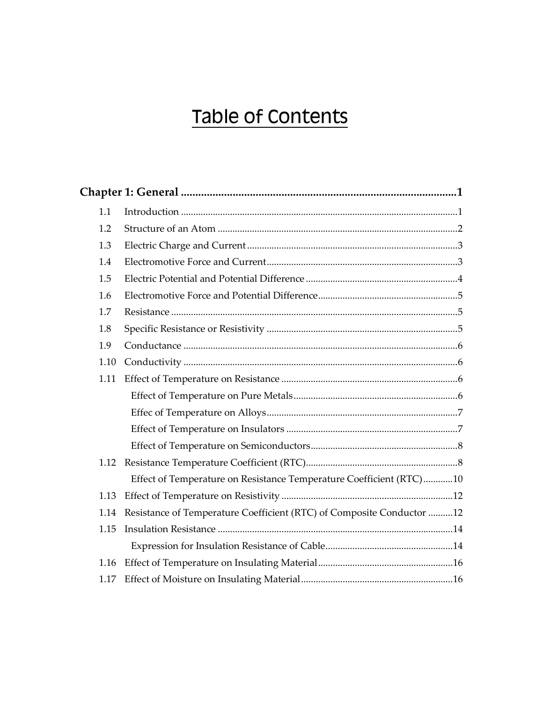## Table of Contents

| 1.1  |                                                                       |  |  |  |
|------|-----------------------------------------------------------------------|--|--|--|
| 1.2  |                                                                       |  |  |  |
| 1.3  |                                                                       |  |  |  |
| 1.4  |                                                                       |  |  |  |
| 1.5  |                                                                       |  |  |  |
| 1.6  |                                                                       |  |  |  |
| 1.7  |                                                                       |  |  |  |
| 1.8  |                                                                       |  |  |  |
| 1.9  |                                                                       |  |  |  |
| 1.10 |                                                                       |  |  |  |
| 1.11 |                                                                       |  |  |  |
|      |                                                                       |  |  |  |
|      |                                                                       |  |  |  |
|      |                                                                       |  |  |  |
|      |                                                                       |  |  |  |
| 1.12 |                                                                       |  |  |  |
|      | Effect of Temperature on Resistance Temperature Coefficient (RTC)10   |  |  |  |
| 1.13 |                                                                       |  |  |  |
| 1.14 | Resistance of Temperature Coefficient (RTC) of Composite Conductor 12 |  |  |  |
| 1.15 |                                                                       |  |  |  |
|      |                                                                       |  |  |  |
| 1.16 |                                                                       |  |  |  |
| 1.17 |                                                                       |  |  |  |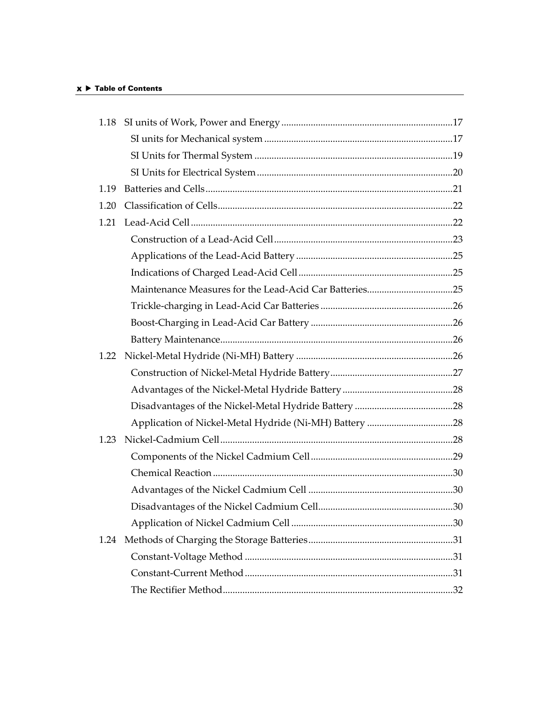## $x \triangleright$  Table of Contents

| 1.18 |                                                        |  |
|------|--------------------------------------------------------|--|
|      |                                                        |  |
|      |                                                        |  |
|      |                                                        |  |
| 1.19 |                                                        |  |
| 1.20 |                                                        |  |
| 1.21 |                                                        |  |
|      |                                                        |  |
|      |                                                        |  |
|      |                                                        |  |
|      | Maintenance Measures for the Lead-Acid Car Batteries25 |  |
|      |                                                        |  |
|      |                                                        |  |
|      |                                                        |  |
| 1.22 |                                                        |  |
|      |                                                        |  |
|      |                                                        |  |
|      |                                                        |  |
|      |                                                        |  |
| 1.23 |                                                        |  |
|      |                                                        |  |
|      |                                                        |  |
|      |                                                        |  |
|      |                                                        |  |
|      |                                                        |  |
| 1.24 |                                                        |  |
|      |                                                        |  |
|      |                                                        |  |
|      |                                                        |  |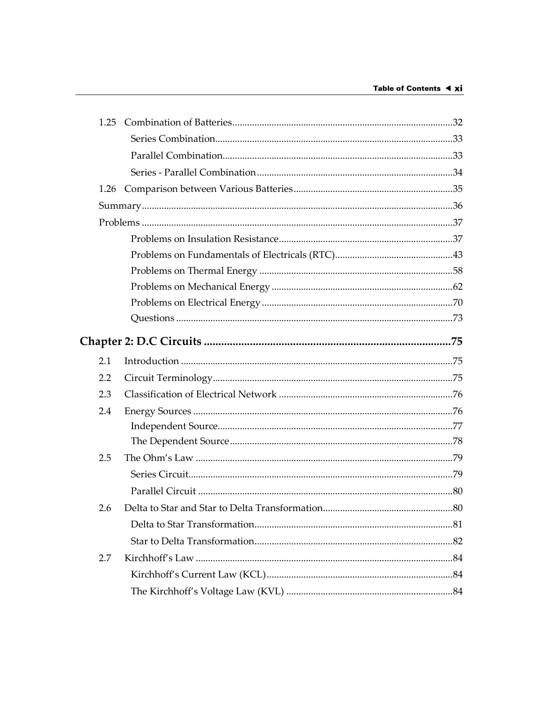| 2.1 |  |
|-----|--|
| 2.2 |  |
| 2.3 |  |
| 2.4 |  |
|     |  |
|     |  |
| 2.5 |  |
|     |  |
|     |  |
| 2.6 |  |
|     |  |
|     |  |
| 2.7 |  |
|     |  |
|     |  |
|     |  |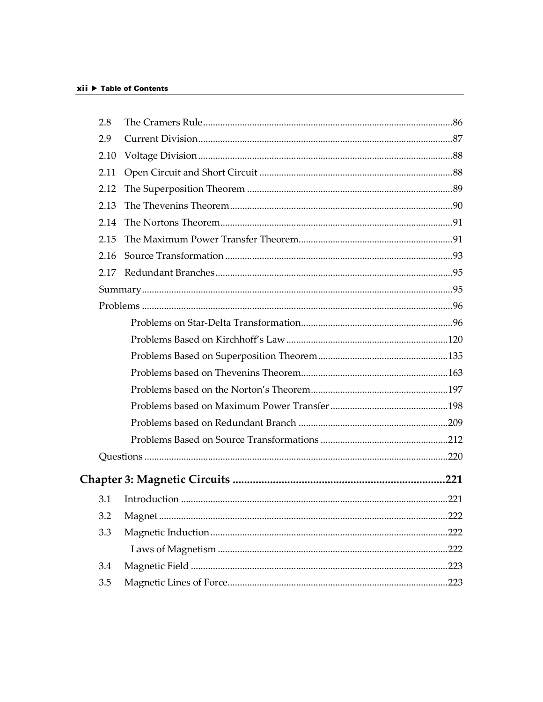| 2.8  |      |
|------|------|
| 2.9  |      |
| 2.10 |      |
| 2.11 |      |
| 2.12 |      |
| 2.13 |      |
| 2.14 |      |
| 2.15 |      |
| 2.16 |      |
| 2.17 |      |
|      |      |
|      |      |
|      |      |
|      |      |
|      |      |
|      |      |
|      |      |
|      |      |
|      |      |
|      |      |
|      |      |
|      |      |
| 3.1  |      |
| 3.2  |      |
| 3.3  | .222 |
|      | .222 |
| 3.4  | .223 |
| 3.5  |      |
|      |      |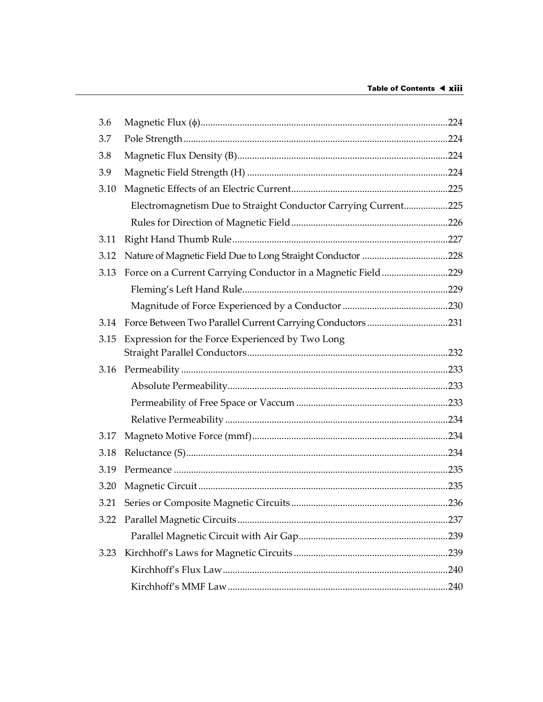| 3.6  |                                                                |  |
|------|----------------------------------------------------------------|--|
| 3.7  |                                                                |  |
| 3.8  |                                                                |  |
| 3.9  |                                                                |  |
| 3.10 |                                                                |  |
|      | Electromagnetism Due to Straight Conductor Carrying Current225 |  |
|      |                                                                |  |
| 3.11 |                                                                |  |
| 3.12 |                                                                |  |
| 3.13 | Force on a Current Carrying Conductor in a Magnetic Field229   |  |
|      |                                                                |  |
|      |                                                                |  |
| 3.14 | Force Between Two Parallel Current Carrying Conductors231      |  |
| 3.15 | Expression for the Force Experienced by Two Long               |  |
| 3.16 |                                                                |  |
|      |                                                                |  |
|      |                                                                |  |
|      |                                                                |  |
| 3.17 |                                                                |  |
| 3.18 |                                                                |  |
| 3.19 |                                                                |  |
| 3.20 |                                                                |  |
|      |                                                                |  |
| 3.21 |                                                                |  |
| 3.22 |                                                                |  |
|      |                                                                |  |
| 3.23 |                                                                |  |
|      |                                                                |  |
|      |                                                                |  |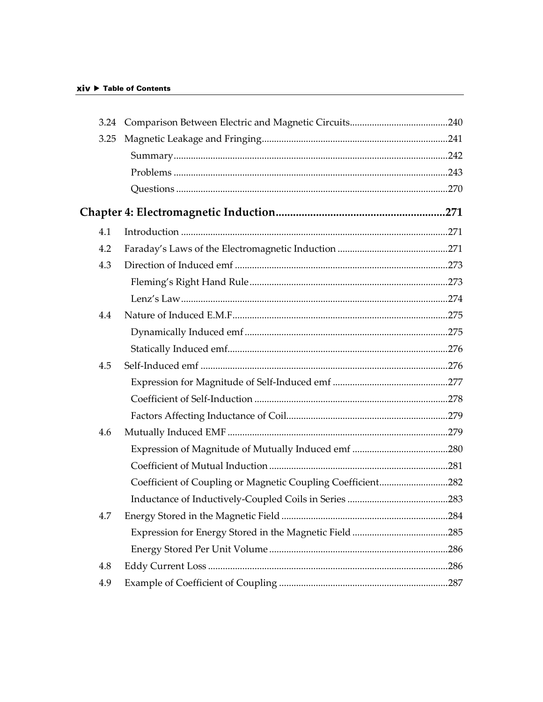| 3.25 |                                                             |  |
|------|-------------------------------------------------------------|--|
|      |                                                             |  |
|      |                                                             |  |
|      |                                                             |  |
|      |                                                             |  |
| 4.1  |                                                             |  |
| 4.2  |                                                             |  |
| 4.3  |                                                             |  |
|      |                                                             |  |
|      |                                                             |  |
| 4.4  |                                                             |  |
|      |                                                             |  |
|      |                                                             |  |
| 4.5  |                                                             |  |
|      |                                                             |  |
|      |                                                             |  |
|      |                                                             |  |
| 4.6  |                                                             |  |
|      |                                                             |  |
|      |                                                             |  |
|      | Coefficient of Coupling or Magnetic Coupling Coefficient282 |  |
|      |                                                             |  |
| 4.7  |                                                             |  |
|      |                                                             |  |
|      |                                                             |  |
| 4.8  |                                                             |  |
| 4.9  |                                                             |  |
|      |                                                             |  |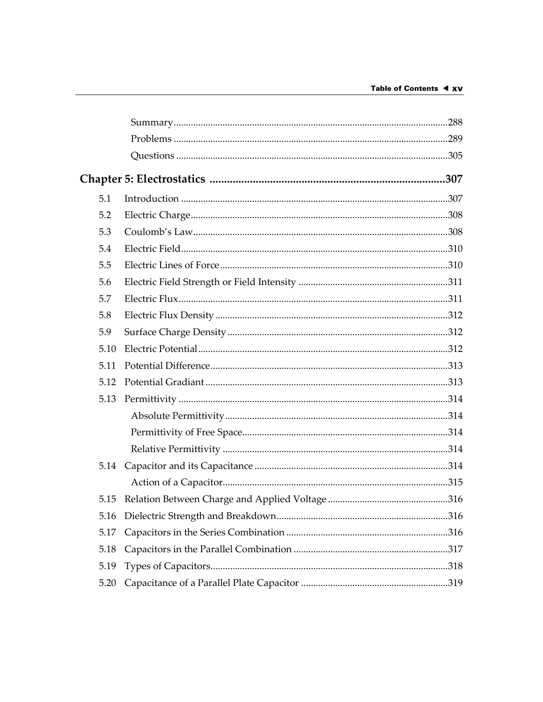|      | Chapter 5: Electrostatics ………………………………………………………………………307 |  |
|------|----------------------------------------------------------|--|
| 5.1  |                                                          |  |
| 5.2  |                                                          |  |
| 5.3  |                                                          |  |
| 5.4  |                                                          |  |
| 5.5  |                                                          |  |
| 5.6  |                                                          |  |
| 5.7  |                                                          |  |
| 5.8  |                                                          |  |
| 5.9  |                                                          |  |
| 5.10 |                                                          |  |
| 5.11 |                                                          |  |
| 5.12 |                                                          |  |
| 5.13 |                                                          |  |
|      |                                                          |  |
|      |                                                          |  |
|      |                                                          |  |
|      |                                                          |  |
|      |                                                          |  |
|      |                                                          |  |
| 5.16 |                                                          |  |
| 5.17 |                                                          |  |
| 5.18 |                                                          |  |
| 5.19 |                                                          |  |
| 5.20 |                                                          |  |
|      |                                                          |  |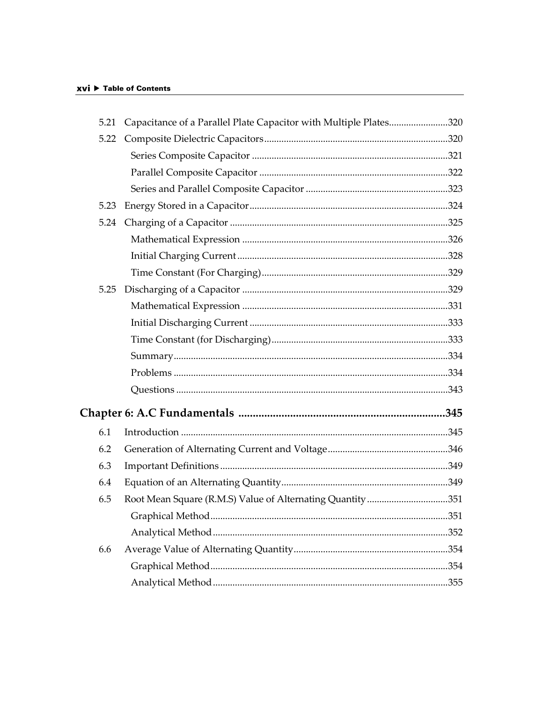## xvi ▶ Table of Contents

|      | 5.21 Capacitance of a Parallel Plate Capacitor with Multiple Plates320 |  |
|------|------------------------------------------------------------------------|--|
| 5.22 |                                                                        |  |
|      |                                                                        |  |
|      |                                                                        |  |
|      |                                                                        |  |
| 5.23 |                                                                        |  |
|      |                                                                        |  |
|      |                                                                        |  |
|      |                                                                        |  |
|      |                                                                        |  |
| 5.25 |                                                                        |  |
|      |                                                                        |  |
|      |                                                                        |  |
|      |                                                                        |  |
|      |                                                                        |  |
|      |                                                                        |  |
|      |                                                                        |  |
|      |                                                                        |  |
| 6.1  |                                                                        |  |
| 6.2  |                                                                        |  |
| 6.3  |                                                                        |  |
| 6.4  |                                                                        |  |
| 6.5  | Root Mean Square (R.M.S) Value of Alternating Quantity 351             |  |
|      |                                                                        |  |
|      |                                                                        |  |
| 6.6  |                                                                        |  |
|      |                                                                        |  |
|      |                                                                        |  |
|      |                                                                        |  |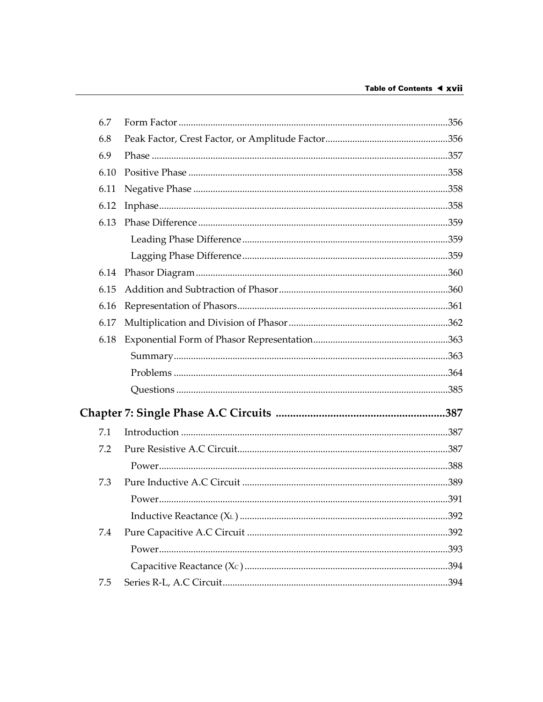| 6.7  |  |
|------|--|
| 6.8  |  |
| 6.9  |  |
| 6.10 |  |
| 6.11 |  |
| 6.12 |  |
| 6.13 |  |
|      |  |
|      |  |
| 6.14 |  |
| 6.15 |  |
| 6.16 |  |
| 6.17 |  |
| 6.18 |  |
|      |  |
|      |  |
|      |  |
|      |  |
| 7.1  |  |
| 7.2  |  |
|      |  |
| 7.3  |  |
|      |  |
|      |  |
| 7.4  |  |
|      |  |
|      |  |
| 7.5  |  |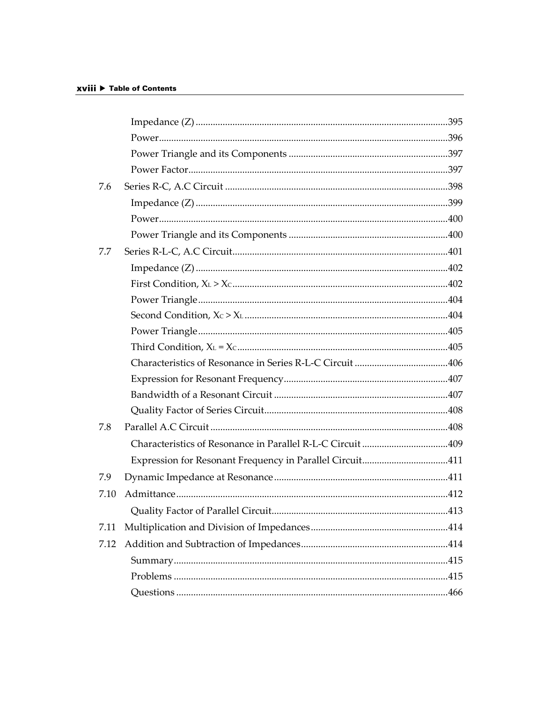| 7.6  |                                                          |     |
|------|----------------------------------------------------------|-----|
|      |                                                          |     |
|      |                                                          |     |
|      |                                                          |     |
| 7.7  |                                                          |     |
|      |                                                          |     |
|      |                                                          |     |
|      |                                                          |     |
|      |                                                          |     |
|      |                                                          |     |
|      |                                                          |     |
|      |                                                          |     |
|      |                                                          |     |
|      |                                                          |     |
|      |                                                          |     |
| 7.8  |                                                          |     |
|      |                                                          |     |
|      | Expression for Resonant Frequency in Parallel Circuit411 |     |
| 7.9  |                                                          |     |
| 7.10 |                                                          |     |
|      |                                                          | 413 |
| 7.11 |                                                          |     |
| 7.12 |                                                          |     |
|      |                                                          |     |
|      |                                                          |     |
|      |                                                          |     |
|      |                                                          |     |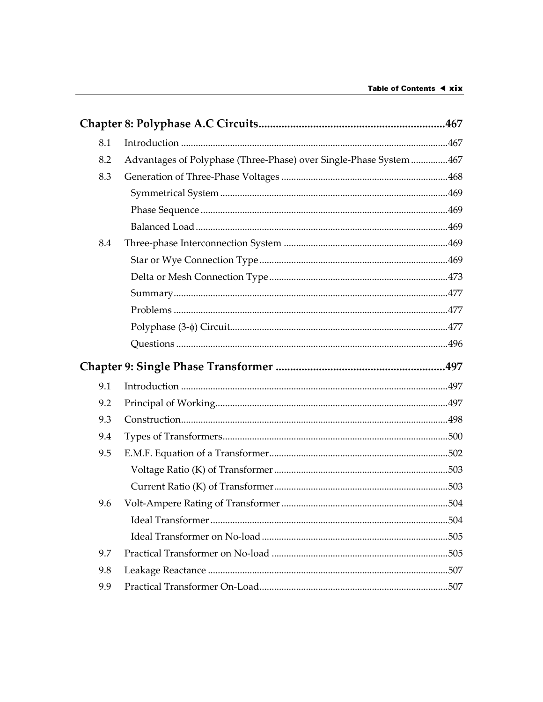| 8.1 |                                                                    |  |
|-----|--------------------------------------------------------------------|--|
| 8.2 | Advantages of Polyphase (Three-Phase) over Single-Phase System 467 |  |
| 8.3 |                                                                    |  |
|     |                                                                    |  |
|     |                                                                    |  |
|     |                                                                    |  |
| 8.4 |                                                                    |  |
|     |                                                                    |  |
|     |                                                                    |  |
|     |                                                                    |  |
|     |                                                                    |  |
|     |                                                                    |  |
|     |                                                                    |  |
|     |                                                                    |  |
| 9.1 |                                                                    |  |
| 9.2 |                                                                    |  |
| 9.3 |                                                                    |  |
| 9.4 |                                                                    |  |
| 9.5 |                                                                    |  |
|     |                                                                    |  |
|     |                                                                    |  |
| 9.6 |                                                                    |  |
|     |                                                                    |  |
|     |                                                                    |  |
| 9.7 |                                                                    |  |
| 9.8 |                                                                    |  |
| 9.9 |                                                                    |  |